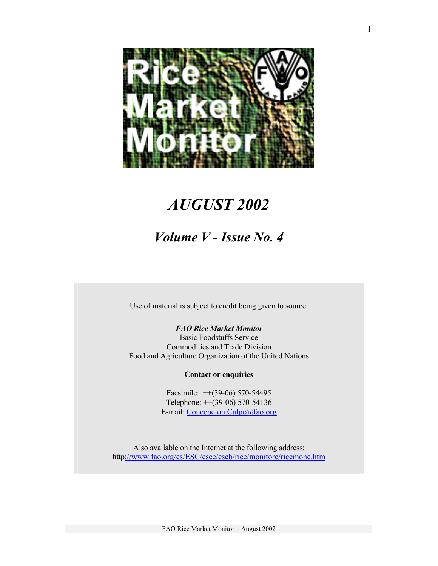

# *AUGUST 2002*

# *Volume V - Issue No. 4*

Use of material is subject to credit being given to source:

# *FAO Rice Market Monitor*

Basic Foodstuffs Service Commodities and Trade Division Food and Agriculture Organization of the United Nations

## **Contact or enquiries**

Facsimile: ++(39-06) 570-54495 Telephone: ++(39-06) 570-54136 E-mail: Concepcion.Calpe@fao.org

Also available on the Internet at the following address: http://www.fao.org/es/ESC/esce/escb/rice/monitore/ricemone.htm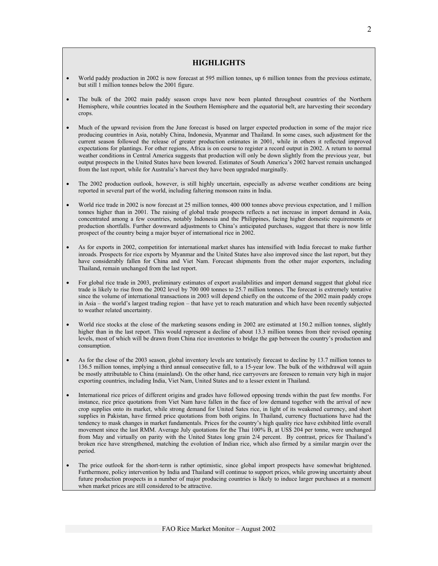## **HIGHLIGHTS**

- World paddy production in 2002 is now forecast at 595 million tonnes, up 6 million tonnes from the previous estimate, but still 1 million tonnes below the 2001 figure.
- The bulk of the 2002 main paddy season crops have now been planted throughout countries of the Northern Hemisphere, while countries located in the Southern Hemisphere and the equatorial belt, are harvesting their secondary crops.
- Much of the upward revision from the June forecast is based on larger expected production in some of the major rice producing countries in Asia, notably China, Indonesia, Myanmar and Thailand. In some cases, such adjustment for the current season followed the release of greater production estimates in 2001, while in others it reflected improved expectations for plantings. For other regions, Africa is on course to register a record output in 2002. A return to normal weather conditions in Central America suggests that production will only be down slightly from the previous year, but output prospects in the United States have been lowered. Estimates of South America's 2002 harvest remain unchanged from the last report, while for Australia's harvest they have been upgraded marginally.
- The 2002 production outlook, however, is still highly uncertain, especially as adverse weather conditions are being reported in several part of the world, including faltering monsoon rains in India.
- World rice trade in 2002 is now forecast at 25 million tonnes, 400 000 tonnes above previous expectation, and 1 million tonnes higher than in 2001. The raising of global trade prospects reflects a net increase in import demand in Asia, concentrated among a few countries, notably Indonesia and the Philippines, facing higher domestic requirements or production shortfalls. Further downward adjustments to China's anticipated purchases, suggest that there is now little prospect of the country being a major buyer of international rice in 2002.
- As for exports in 2002, competition for international market shares has intensified with India forecast to make further inroads. Prospects for rice exports by Myanmar and the United States have also improved since the last report, but they have considerably fallen for China and Viet Nam. Forecast shipments from the other major exporters, including Thailand, remain unchanged from the last report.
- For global rice trade in 2003, preliminary estimates of export availabilities and import demand suggest that global rice trade is likely to rise from the 2002 level by 700 000 tonnes to 25.7 million tonnes. The forecast is extremely tentative since the volume of international transactions in 2003 will depend chiefly on the outcome of the 2002 main paddy crops in Asia – the world's largest trading region – that have yet to reach maturation and which have been recently subjected to weather related uncertainty.
- World rice stocks at the close of the marketing seasons ending in 2002 are estimated at 150.2 million tonnes, slightly higher than in the last report. This would represent a decline of about 13.3 million tonnes from their revised opening levels, most of which will be drawn from China rice inventories to bridge the gap between the country's production and consumption.
- As for the close of the 2003 season, global inventory levels are tentatively forecast to decline by 13.7 million tonnes to 136.5 million tonnes, implying a third annual consecutive fall, to a 15-year low. The bulk of the withdrawal will again be mostly attributable to China (mainland). On the other hand, rice carryovers are foreseen to remain very high in major exporting countries, including India, Viet Nam, United States and to a lesser extent in Thailand.
- International rice prices of different origins and grades have followed opposing trends within the past few months. For instance, rice price quotations from Viet Nam have fallen in the face of low demand together with the arrival of new crop supplies onto its market, while strong demand for United Sates rice, in light of its weakened currency, and short supplies in Pakistan, have firmed price quotations from both origins. In Thailand, currency fluctuations have had the tendency to mask changes in market fundamentals. Prices for the country's high quality rice have exhibited little overall movement since the last RMM. Average July quotations for the Thai 100% B, at US\$ 204 per tonne, were unchanged from May and virtually on parity with the United States long grain 2/4 percent. By contrast, prices for Thailand's broken rice have strengthened, matching the evolution of Indian rice, which also firmed by a similar margin over the period.
- The price outlook for the short-term is rather optimistic, since global import prospects have somewhat brightened. Furthermore, policy intervention by India and Thailand will continue to support prices, while growing uncertainty about future production prospects in a number of major producing countries is likely to induce larger purchases at a moment when market prices are still considered to be attractive.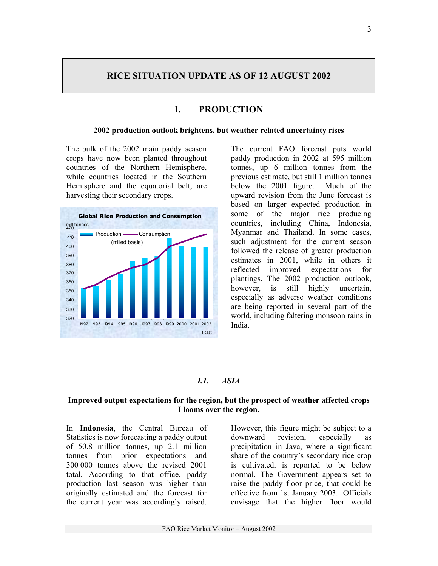## **RICE SITUATION UPDATE AS OF 12 AUGUST 2002**

# **I. PRODUCTION**

#### **2002 production outlook brightens, but weather related uncertainty rises**

The bulk of the 2002 main paddy season crops have now been planted throughout countries of the Northern Hemisphere, while countries located in the Southern Hemisphere and the equatorial belt, are harvesting their secondary crops.



The current FAO forecast puts world paddy production in 2002 at 595 million tonnes, up 6 million tonnes from the previous estimate, but still 1 million tonnes below the 2001 figure. Much of the upward revision from the June forecast is based on larger expected production in some of the major rice producing countries, including China, Indonesia, Myanmar and Thailand. In some cases, such adjustment for the current season followed the release of greater production estimates in 2001, while in others it reflected improved expectations for plantings. The 2002 production outlook, however, is still highly uncertain, especially as adverse weather conditions are being reported in several part of the world, including faltering monsoon rains in India.

#### *I.1. ASIA*

## **Improved output expectations for the region, but the prospect of weather affected crops I looms over the region.**

In **Indonesia**, the Central Bureau of Statistics is now forecasting a paddy output of 50.8 million tonnes, up 2.1 million tonnes from prior expectations and 300 000 tonnes above the revised 2001 total. According to that office, paddy production last season was higher than originally estimated and the forecast for the current year was accordingly raised.

However, this figure might be subject to a downward revision, especially as precipitation in Java, where a significant share of the country's secondary rice crop is cultivated, is reported to be below normal. The Government appears set to raise the paddy floor price, that could be effective from 1st January 2003. Officials envisage that the higher floor would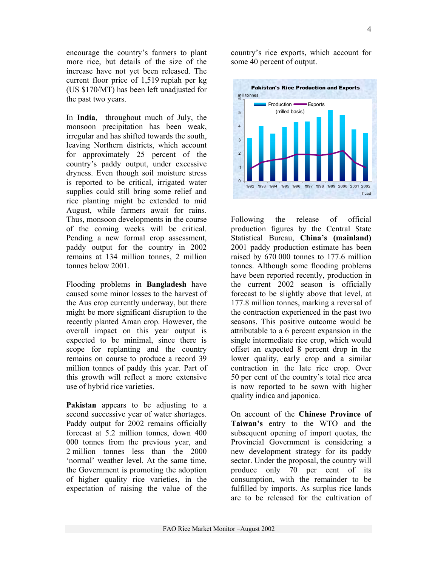encourage the country's farmers to plant more rice, but details of the size of the increase have not yet been released. The current floor price of 1,519 rupiah per kg (US \$170/MT) has been left unadjusted for the past two years.

In **India**, throughout much of July, the monsoon precipitation has been weak, irregular and has shifted towards the south, leaving Northern districts, which account for approximately 25 percent of the country's paddy output, under excessive dryness. Even though soil moisture stress is reported to be critical, irrigated water supplies could still bring some relief and rice planting might be extended to mid August, while farmers await for rains. Thus, monsoon developments in the course of the coming weeks will be critical. Pending a new formal crop assessment, paddy output for the country in 2002 remains at 134 million tonnes, 2 million tonnes below 2001.

Flooding problems in **Bangladesh** have caused some minor losses to the harvest of the Aus crop currently underway, but there might be more significant disruption to the recently planted Aman crop. However, the overall impact on this year output is expected to be minimal, since there is scope for replanting and the country remains on course to produce a record 39 million tonnes of paddy this year. Part of this growth will reflect a more extensive use of hybrid rice varieties.

**Pakistan** appears to be adjusting to a second successive year of water shortages. Paddy output for 2002 remains officially forecast at 5.2 million tonnes, down 400 000 tonnes from the previous year, and 2 million tonnes less than the 2000 'normal' weather level. At the same time, the Government is promoting the adoption of higher quality rice varieties, in the expectation of raising the value of the country's rice exports, which account for some 40 percent of output.



Following the release of official production figures by the Central State Statistical Bureau, **China's (mainland)** 2001 paddy production estimate has been raised by 670 000 tonnes to 177.6 million tonnes. Although some flooding problems have been reported recently, production in the current 2002 season is officially forecast to be slightly above that level, at 177.8 million tonnes, marking a reversal of the contraction experienced in the past two seasons. This positive outcome would be attributable to a 6 percent expansion in the single intermediate rice crop, which would offset an expected 8 percent drop in the lower quality, early crop and a similar contraction in the late rice crop. Over 50 per cent of the country's total rice area is now reported to be sown with higher quality indica and japonica.

On account of the **Chinese Province of Taiwan's** entry to the WTO and the subsequent opening of import quotas, the Provincial Government is considering a new development strategy for its paddy sector. Under the proposal, the country will produce only 70 per cent of its consumption, with the remainder to be fulfilled by imports. As surplus rice lands are to be released for the cultivation of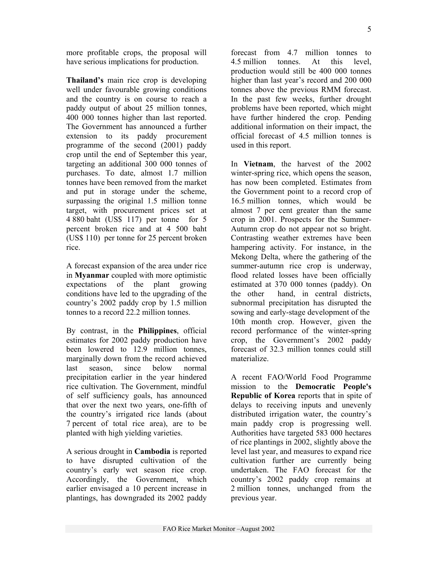more profitable crops, the proposal will have serious implications for production.

**Thailand's** main rice crop is developing well under favourable growing conditions and the country is on course to reach a paddy output of about 25 million tonnes, 400 000 tonnes higher than last reported. The Government has announced a further extension to its paddy procurement programme of the second (2001) paddy crop until the end of September this year, targeting an additional 300 000 tonnes of purchases. To date, almost 1.7 million tonnes have been removed from the market and put in storage under the scheme, surpassing the original 1.5 million tonne target, with procurement prices set at 4 880 baht (US\$ 117) per tonne for 5 percent broken rice and at 4 500 baht (US\$ 110) per tonne for 25 percent broken rice.

A forecast expansion of the area under rice in **Myanmar** coupled with more optimistic expectations of the plant growing conditions have led to the upgrading of the country's 2002 paddy crop by 1.5 million tonnes to a record 22.2 million tonnes.

By contrast, in the **Philippines**, official estimates for 2002 paddy production have been lowered to 12.9 million tonnes. marginally down from the record achieved last season, since below normal precipitation earlier in the year hindered rice cultivation. The Government, mindful of self sufficiency goals, has announced that over the next two years, one-fifth of the country's irrigated rice lands (about 7 percent of total rice area), are to be planted with high yielding varieties.

A serious drought in **Cambodia** is reported to have disrupted cultivation of the country's early wet season rice crop. Accordingly, the Government, which earlier envisaged a 10 percent increase in plantings, has downgraded its 2002 paddy forecast from 4.7 million tonnes to 4.5 million tonnes. At this level, production would still be 400 000 tonnes higher than last year's record and 200 000 tonnes above the previous RMM forecast. In the past few weeks, further drought problems have been reported, which might have further hindered the crop. Pending additional information on their impact, the official forecast of 4.5 million tonnes is used in this report.

In **Vietnam**, the harvest of the 2002 winter-spring rice, which opens the season, has now been completed. Estimates from the Government point to a record crop of 16.5 million tonnes, which would be almost 7 per cent greater than the same crop in 2001. Prospects for the Summer-Autumn crop do not appear not so bright. Contrasting weather extremes have been hampering activity. For instance, in the Mekong Delta, where the gathering of the summer-autumn rice crop is underway, flood related losses have been officially estimated at 370 000 tonnes (paddy). On the other hand, in central districts, subnormal precipitation has disrupted the sowing and early-stage development of the 10th month crop. However, given the record performance of the winter-spring crop, the Government's 2002 paddy forecast of 32.3 million tonnes could still materialize.

A recent FAO/World Food Programme mission to the **Democratic People's Republic of Korea** reports that in spite of delays to receiving inputs and unevenly distributed irrigation water, the country's main paddy crop is progressing well. Authorities have targeted 583 000 hectares of rice plantings in 2002, slightly above the level last year, and measures to expand rice cultivation further are currently being undertaken. The FAO forecast for the country's 2002 paddy crop remains at 2 million tonnes, unchanged from the previous year.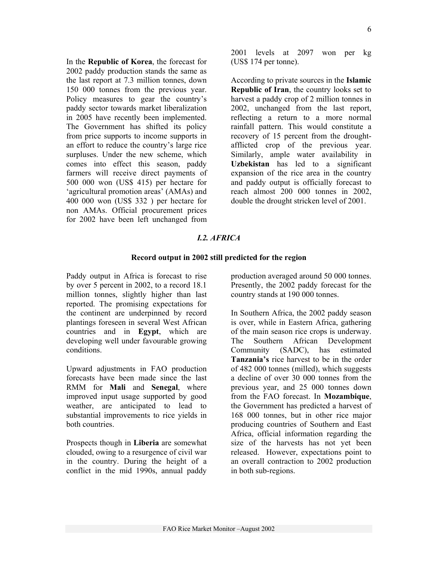In the **Republic of Korea**, the forecast for 2002 paddy production stands the same as the last report at 7.3 million tonnes, down 150 000 tonnes from the previous year. Policy measures to gear the country's paddy sector towards market liberalization in 2005 have recently been implemented. The Government has shifted its policy from price supports to income supports in an effort to reduce the country's large rice surpluses. Under the new scheme, which comes into effect this season, paddy farmers will receive direct payments of 500 000 won (US\$ 415) per hectare for 'agricultural promotion areas' (AMAs) and 400 000 won (US\$ 332 ) per hectare for non AMAs. Official procurement prices for 2002 have been left unchanged from

2001 levels at 2097 won per kg (US\$ 174 per tonne).

According to private sources in the **Islamic Republic of Iran**, the country looks set to harvest a paddy crop of 2 million tonnes in 2002, unchanged from the last report, reflecting a return to a more normal rainfall pattern. This would constitute a recovery of 15 percent from the droughtafflicted crop of the previous year. Similarly, ample water availability in **Uzbekistan** has led to a significant expansion of the rice area in the country and paddy output is officially forecast to reach almost 200 000 tonnes in 2002, double the drought stricken level of 2001.

#### *I.2. AFRICA*

#### **Record output in 2002 still predicted for the region**

Paddy output in Africa is forecast to rise by over 5 percent in 2002, to a record 18.1 million tonnes, slightly higher than last reported. The promising expectations for the continent are underpinned by record plantings foreseen in several West African countries and in **Egypt**, which are developing well under favourable growing conditions.

Upward adjustments in FAO production forecasts have been made since the last RMM for **Mali** and **Senegal**, where improved input usage supported by good weather, are anticipated to lead to substantial improvements to rice yields in both countries.

Prospects though in **Liberia** are somewhat clouded, owing to a resurgence of civil war in the country. During the height of a conflict in the mid 1990s, annual paddy production averaged around 50 000 tonnes. Presently, the 2002 paddy forecast for the country stands at 190 000 tonnes.

In Southern Africa, the 2002 paddy season is over, while in Eastern Africa, gathering of the main season rice crops is underway. The Southern African Development Community (SADC), has estimated **Tanzania's** rice harvest to be in the order of 482 000 tonnes (milled), which suggests a decline of over 30 000 tonnes from the previous year, and 25 000 tonnes down from the FAO forecast. In **Mozambique**, the Government has predicted a harvest of 168 000 tonnes, but in other rice major producing countries of Southern and East Africa, official information regarding the size of the harvests has not yet been released. However, expectations point to an overall contraction to 2002 production in both sub-regions.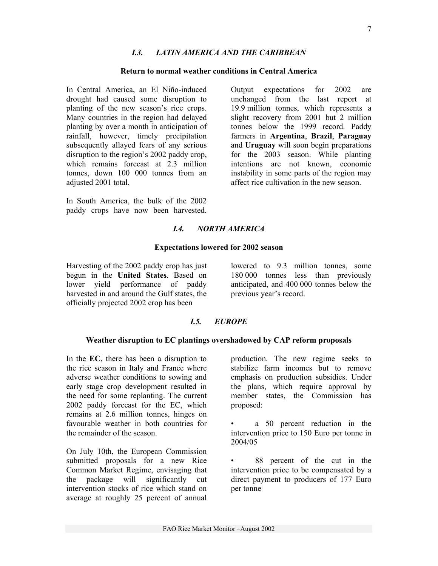## *I.3. LATIN AMERICA AND THE CARIBBEAN*

#### **Return to normal weather conditions in Central America**

In Central America, an El Niño-induced drought had caused some disruption to planting of the new season's rice crops. Many countries in the region had delayed planting by over a month in anticipation of rainfall, however, timely precipitation subsequently allayed fears of any serious disruption to the region's 2002 paddy crop, which remains forecast at 2.3 million tonnes, down 100 000 tonnes from an adjusted 2001 total.

In South America, the bulk of the 2002 paddy crops have now been harvested. Output expectations for 2002 are unchanged from the last report at 19.9 million tonnes, which represents a slight recovery from 2001 but 2 million tonnes below the 1999 record. Paddy farmers in **Argentina**, **Brazil**, **Paraguay** and **Uruguay** will soon begin preparations for the 2003 season. While planting intentions are not known, economic instability in some parts of the region may affect rice cultivation in the new season.

## *I.4. NORTH AMERICA*

#### **Expectations lowered for 2002 season**

Harvesting of the 2002 paddy crop has just begun in the **United States**. Based on lower yield performance of paddy harvested in and around the Gulf states, the officially projected 2002 crop has been

lowered to 9.3 million tonnes, some 180 000 tonnes less than previously anticipated, and 400 000 tonnes below the previous year's record.

## *I.5. EUROPE*

#### **Weather disruption to EC plantings overshadowed by CAP reform proposals**

In the **EC**, there has been a disruption to the rice season in Italy and France where adverse weather conditions to sowing and early stage crop development resulted in the need for some replanting. The current 2002 paddy forecast for the EC, which remains at 2.6 million tonnes, hinges on favourable weather in both countries for the remainder of the season.

On July 10th, the European Commission submitted proposals for a new Rice Common Market Regime, envisaging that the package will significantly cut intervention stocks of rice which stand on average at roughly 25 percent of annual production. The new regime seeks to stabilize farm incomes but to remove emphasis on production subsidies. Under the plans, which require approval by member states, the Commission has proposed:

• a 50 percent reduction in the intervention price to 150 Euro per tonne in 2004/05

88 percent of the cut in the intervention price to be compensated by a direct payment to producers of 177 Euro per tonne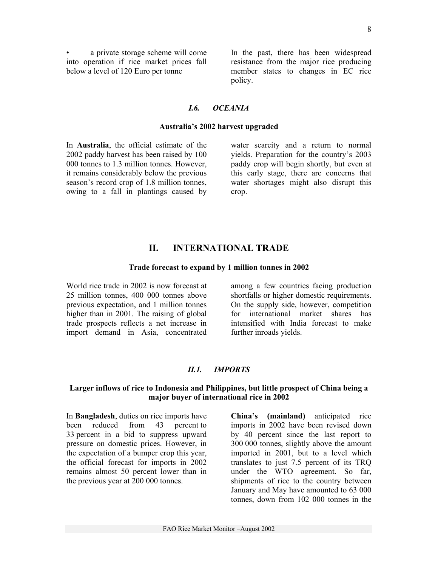a private storage scheme will come into operation if rice market prices fall below a level of 120 Euro per tonne

In the past, there has been widespread resistance from the major rice producing member states to changes in EC rice policy.

## *I.6. OCEANIA*

#### **Australia's 2002 harvest upgraded**

In **Australia**, the official estimate of the 2002 paddy harvest has been raised by 100 000 tonnes to 1.3 million tonnes. However, it remains considerably below the previous season's record crop of 1.8 million tonnes, owing to a fall in plantings caused by water scarcity and a return to normal yields. Preparation for the country's 2003 paddy crop will begin shortly, but even at this early stage, there are concerns that water shortages might also disrupt this crop.

## **II. INTERNATIONAL TRADE**

#### **Trade forecast to expand by 1 million tonnes in 2002**

World rice trade in 2002 is now forecast at 25 million tonnes, 400 000 tonnes above previous expectation, and 1 million tonnes higher than in 2001. The raising of global trade prospects reflects a net increase in import demand in Asia, concentrated among a few countries facing production shortfalls or higher domestic requirements. On the supply side, however, competition for international market shares has intensified with India forecast to make further inroads yields.

## *II.1. IMPORTS*

#### **Larger inflows of rice to Indonesia and Philippines, but little prospect of China being a major buyer of international rice in 2002**

In **Bangladesh**, duties on rice imports have been reduced from 43 percent to 33 percent in a bid to suppress upward pressure on domestic prices. However, in the expectation of a bumper crop this year, the official forecast for imports in 2002 remains almost 50 percent lower than in the previous year at 200 000 tonnes.

**China's (mainland)** anticipated rice imports in 2002 have been revised down by 40 percent since the last report to 300 000 tonnes, slightly above the amount imported in 2001, but to a level which translates to just 7.5 percent of its TRQ under the WTO agreement. So far, shipments of rice to the country between January and May have amounted to 63 000 tonnes, down from 102 000 tonnes in the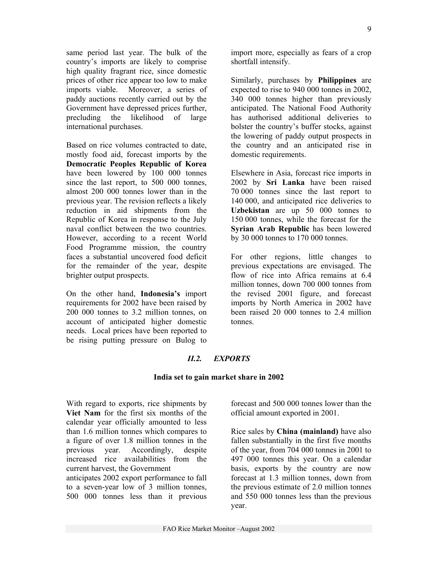same period last year. The bulk of the country's imports are likely to comprise high quality fragrant rice, since domestic prices of other rice appear too low to make imports viable. Moreover, a series of paddy auctions recently carried out by the Government have depressed prices further, precluding the likelihood of large international purchases.

Based on rice volumes contracted to date, mostly food aid, forecast imports by the **Democratic Peoples Republic of Korea** have been lowered by 100 000 tonnes since the last report, to 500 000 tonnes, almost 200 000 tonnes lower than in the previous year. The revision reflects a likely reduction in aid shipments from the Republic of Korea in response to the July naval conflict between the two countries. However, according to a recent World Food Programme mission, the country faces a substantial uncovered food deficit for the remainder of the year, despite brighter output prospects.

On the other hand, **Indonesia's** import requirements for 2002 have been raised by 200 000 tonnes to 3.2 million tonnes, on account of anticipated higher domestic needs. Local prices have been reported to be rising putting pressure on Bulog to import more, especially as fears of a crop shortfall intensify.

Similarly, purchases by **Philippines** are expected to rise to 940 000 tonnes in 2002, 340 000 tonnes higher than previously anticipated. The National Food Authority has authorised additional deliveries to bolster the country's buffer stocks, against the lowering of paddy output prospects in the country and an anticipated rise in domestic requirements.

Elsewhere in Asia, forecast rice imports in 2002 by **Sri Lanka** have been raised 70 000 tonnes since the last report to 140 000, and anticipated rice deliveries to **Uzbekistan** are up 50 000 tonnes to 150 000 tonnes, while the forecast for the **Syrian Arab Republic** has been lowered by 30 000 tonnes to 170 000 tonnes.

For other regions, little changes to previous expectations are envisaged. The flow of rice into Africa remains at 6.4 million tonnes, down 700 000 tonnes from the revised 2001 figure, and forecast imports by North America in 2002 have been raised 20 000 tonnes to 2.4 million tonnes.

## *II.2. EXPORTS*

#### **India set to gain market share in 2002**

With regard to exports, rice shipments by **Viet Nam** for the first six months of the calendar year officially amounted to less than 1.6 million tonnes which compares to a figure of over 1.8 million tonnes in the previous year. Accordingly, despite increased rice availabilities from the current harvest, the Government

anticipates 2002 export performance to fall to a seven-year low of 3 million tonnes, 500 000 tonnes less than it previous forecast and 500 000 tonnes lower than the official amount exported in 2001.

Rice sales by **China (mainland)** have also fallen substantially in the first five months of the year, from 704 000 tonnes in 2001 to 497 000 tonnes this year. On a calendar basis, exports by the country are now forecast at 1.3 million tonnes, down from the previous estimate of 2.0 million tonnes and 550 000 tonnes less than the previous year.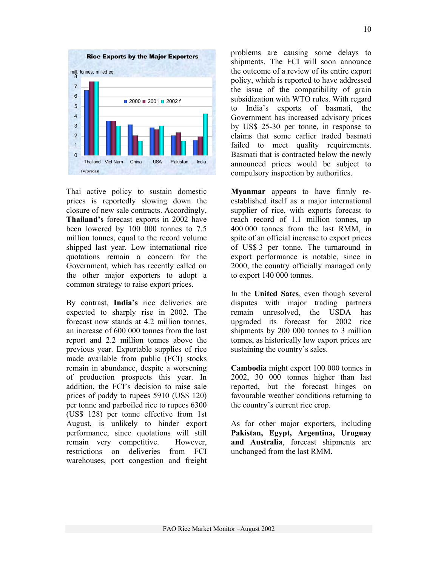

Thai active policy to sustain domestic prices is reportedly slowing down the closure of new sale contracts. Accordingly, **Thailand's** forecast exports in 2002 have been lowered by 100 000 tonnes to 7.5 million tonnes, equal to the record volume shipped last year. Low international rice quotations remain a concern for the Government, which has recently called on the other major exporters to adopt a common strategy to raise export prices.

By contrast, **India's** rice deliveries are expected to sharply rise in 2002. The forecast now stands at 4.2 million tonnes, an increase of 600 000 tonnes from the last report and 2.2 million tonnes above the previous year. Exportable supplies of rice made available from public (FCI) stocks remain in abundance, despite a worsening of production prospects this year. In addition, the FCI's decision to raise sale prices of paddy to rupees 5910 (US\$ 120) per tonne and parboiled rice to rupees 6300 (US\$ 128) per tonne effective from 1st August, is unlikely to hinder export performance, since quotations will still remain very competitive. However, restrictions on deliveries from FCI warehouses, port congestion and freight problems are causing some delays to shipments. The FCI will soon announce the outcome of a review of its entire export policy, which is reported to have addressed the issue of the compatibility of grain subsidization with WTO rules. With regard to India's exports of basmati, the Government has increased advisory prices by US\$ 25-30 per tonne, in response to claims that some earlier traded basmati failed to meet quality requirements. Basmati that is contracted below the newly announced prices would be subject to compulsory inspection by authorities.

**Myanmar** appears to have firmly reestablished itself as a major international supplier of rice, with exports forecast to reach record of 1.1 million tonnes, up 400 000 tonnes from the last RMM, in spite of an official increase to export prices of US\$ 3 per tonne. The turnaround in export performance is notable, since in 2000, the country officially managed only to export 140 000 tonnes.

In the **United Sates**, even though several disputes with major trading partners remain unresolved, the USDA has upgraded its forecast for 2002 rice shipments by 200 000 tonnes to 3 million tonnes, as historically low export prices are sustaining the country's sales.

**Cambodia** might export 100 000 tonnes in 2002, 30 000 tonnes higher than last reported, but the forecast hinges on favourable weather conditions returning to the country's current rice crop.

As for other major exporters, including **Pakistan, Egypt, Argentina, Uruguay and Australia**, forecast shipments are unchanged from the last RMM.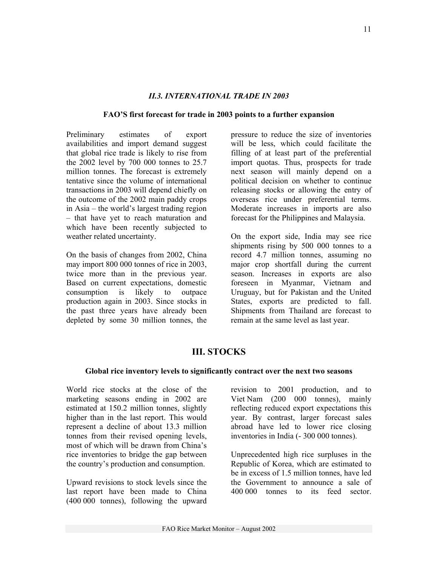## *II.3. INTERNATIONAL TRADE IN 2003*

## **FAO'S first forecast for trade in 2003 points to a further expansion**

Preliminary estimates of export availabilities and import demand suggest that global rice trade is likely to rise from the 2002 level by 700 000 tonnes to 25.7 million tonnes. The forecast is extremely tentative since the volume of international transactions in 2003 will depend chiefly on the outcome of the 2002 main paddy crops in Asia – the world's largest trading region – that have yet to reach maturation and which have been recently subjected to weather related uncertainty.

On the basis of changes from 2002, China may import 800 000 tonnes of rice in 2003, twice more than in the previous year. Based on current expectations, domestic consumption is likely to outpace production again in 2003. Since stocks in the past three years have already been depleted by some 30 million tonnes, the pressure to reduce the size of inventories will be less, which could facilitate the filling of at least part of the preferential import quotas. Thus, prospects for trade next season will mainly depend on a political decision on whether to continue releasing stocks or allowing the entry of overseas rice under preferential terms. Moderate increases in imports are also forecast for the Philippines and Malaysia.

On the export side, India may see rice shipments rising by 500 000 tonnes to a record 4.7 million tonnes, assuming no major crop shortfall during the current season. Increases in exports are also foreseen in Myanmar, Vietnam and Uruguay, but for Pakistan and the United States, exports are predicted to fall. Shipments from Thailand are forecast to remain at the same level as last year.

# **III. STOCKS**

## **Global rice inventory levels to significantly contract over the next two seasons**

World rice stocks at the close of the marketing seasons ending in 2002 are estimated at 150.2 million tonnes, slightly higher than in the last report. This would represent a decline of about 13.3 million tonnes from their revised opening levels, most of which will be drawn from China's rice inventories to bridge the gap between the country's production and consumption.

Upward revisions to stock levels since the last report have been made to China (400 000 tonnes), following the upward revision to 2001 production, and to Viet Nam (200 000 tonnes), mainly reflecting reduced export expectations this year. By contrast, larger forecast sales abroad have led to lower rice closing inventories in India (- 300 000 tonnes).

Unprecedented high rice surpluses in the Republic of Korea, which are estimated to be in excess of 1.5 million tonnes, have led the Government to announce a sale of 400 000 tonnes to its feed sector.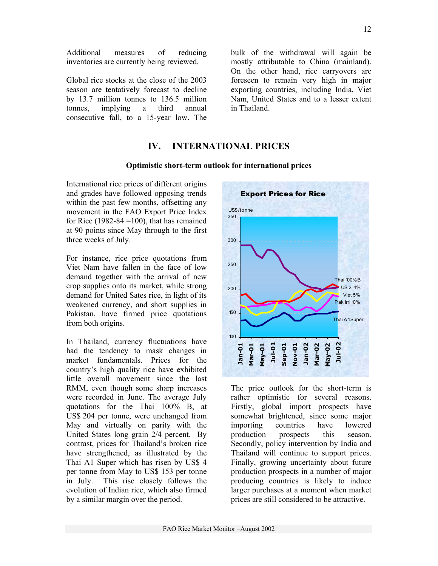Additional measures of reducing inventories are currently being reviewed.

Global rice stocks at the close of the 2003 season are tentatively forecast to decline by 13.7 million tonnes to 136.5 million tonnes, implying a third annual consecutive fall, to a 15-year low. The bulk of the withdrawal will again be mostly attributable to China (mainland). On the other hand, rice carryovers are foreseen to remain very high in major exporting countries, including India, Viet Nam, United States and to a lesser extent in Thailand.

## **IV. INTERNATIONAL PRICES**

#### **Optimistic short-term outlook for international prices**

International rice prices of different origins and grades have followed opposing trends within the past few months, offsetting any movement in the FAO Export Price Index for Rice (1982-84 = 100), that has remained at 90 points since May through to the first three weeks of July.

For instance, rice price quotations from Viet Nam have fallen in the face of low demand together with the arrival of new crop supplies onto its market, while strong demand for United Sates rice, in light of its weakened currency, and short supplies in Pakistan, have firmed price quotations from both origins.

In Thailand, currency fluctuations have had the tendency to mask changes in market fundamentals. Prices for the country's high quality rice have exhibited little overall movement since the last RMM, even though some sharp increases were recorded in June. The average July quotations for the Thai 100% B, at US\$ 204 per tonne, were unchanged from May and virtually on parity with the United States long grain 2/4 percent. By contrast, prices for Thailand's broken rice have strengthened, as illustrated by the Thai A1 Super which has risen by US\$ 4 per tonne from May to US\$ 153 per tonne in July. This rise closely follows the evolution of Indian rice, which also firmed by a similar margin over the period.



The price outlook for the short-term is rather optimistic for several reasons. Firstly, global import prospects have somewhat brightened, since some major importing countries have lowered production prospects this season. Secondly, policy intervention by India and Thailand will continue to support prices. Finally, growing uncertainty about future production prospects in a number of major producing countries is likely to induce larger purchases at a moment when market prices are still considered to be attractive.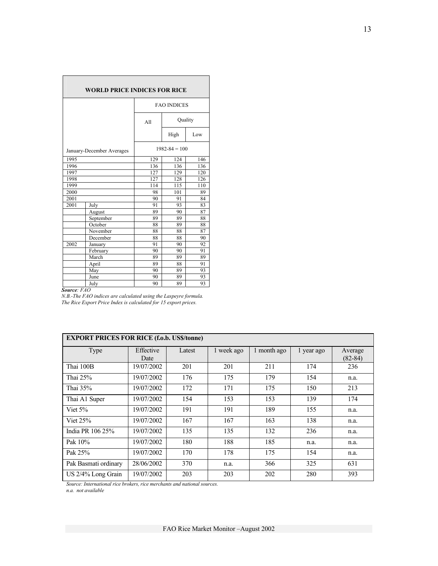| <b>WORLD PRICE INDICES FOR RICE</b>            |           |                   |                    |     |  |  |  |  |
|------------------------------------------------|-----------|-------------------|--------------------|-----|--|--|--|--|
|                                                |           |                   | <b>FAO INDICES</b> |     |  |  |  |  |
|                                                |           | All               | Quality            |     |  |  |  |  |
|                                                |           |                   | High               | Low |  |  |  |  |
| $1982 - 84 = 100$<br>January-December Averages |           |                   |                    |     |  |  |  |  |
| 1995                                           |           | 129<br>124<br>146 |                    |     |  |  |  |  |
| 1996                                           |           | 136               | 136                | 136 |  |  |  |  |
| 1997                                           |           | 127               | 129                | 120 |  |  |  |  |
| 1998                                           |           | 127               | 128                | 126 |  |  |  |  |
| 1999                                           |           | 114               | 115                | 110 |  |  |  |  |
| 2000                                           |           | 98                | 101                | 89  |  |  |  |  |
| 2001                                           |           | 90                | 91                 | 84  |  |  |  |  |
| 2001                                           | July      | 91                | 93                 | 83  |  |  |  |  |
|                                                | August    | 89                | 90                 | 87  |  |  |  |  |
|                                                | September | 89                | 89                 | 88  |  |  |  |  |
|                                                | October   | 88                | 89                 | 88  |  |  |  |  |
|                                                | November  | 88                | 88                 | 87  |  |  |  |  |
|                                                | December  | 88                | 88                 | 90  |  |  |  |  |
| 2002                                           | January   | 91                | 90                 | 92  |  |  |  |  |
|                                                | February  | 90                | 90                 | 91  |  |  |  |  |
|                                                | March     | 89                | 89                 | 89  |  |  |  |  |
|                                                | April     | 89                | 88                 | 91  |  |  |  |  |
|                                                | May       | 90                | 89                 | 93  |  |  |  |  |
|                                                | June      | 90                | 89                 | 93  |  |  |  |  |
|                                                | July      | 90                | 89                 | 93  |  |  |  |  |

*Source: FAO* 

*N.B.-The FAO indices are calculated using the Laspeyre formula. The Rice Export Price Index is calculated for 15 export prices.*

| EAI UNI I NICES FUN NICE (1.0.0. CS\$/WIIIE) |                   |        |            |             |            |                      |  |  |  |
|----------------------------------------------|-------------------|--------|------------|-------------|------------|----------------------|--|--|--|
| <b>Type</b>                                  | Effective<br>Date | Latest | 1 week ago | 1 month ago | 1 year ago | Average<br>$(82-84)$ |  |  |  |
|                                              |                   |        |            |             |            |                      |  |  |  |
| Thai 100B                                    | 19/07/2002        | 201    | 201        | 211         | 174        | 236                  |  |  |  |
| Thai $25%$                                   | 19/07/2002        | 176    | 175        | 179         | 154        | n.a.                 |  |  |  |
| Thai 35%                                     | 19/07/2002        | 172    | 171        | 175         | 150        | 213                  |  |  |  |
| Thai A1 Super                                | 19/07/2002        | 154    | 153        | 153         | 139        | 174                  |  |  |  |
| Viet $5%$                                    | 19/07/2002        | 191    | 191        | 189         | 155        | n.a.                 |  |  |  |
| Viet $25%$                                   | 19/07/2002        | 167    | 167        | 163         | 138        | n.a.                 |  |  |  |
| India PR 106 25%                             | 19/07/2002        | 135    | 135        | 132         | 236        | n.a.                 |  |  |  |
| Pak 10%                                      | 19/07/2002        | 180    | 188        | 185         | n.a.       | n.a.                 |  |  |  |
| Pak 25%                                      | 19/07/2002        | 170    | 178        | 175         | 154        | n.a.                 |  |  |  |
| Pak Basmati ordinary                         | 28/06/2002        | 370    | n.a.       | 366         | 325        | 631                  |  |  |  |
| US 2/4% Long Grain                           | 19/07/2002        | 203    | 203        | 202         | 280        | 393                  |  |  |  |

## **EXPORT PRICES FOR RICE (f.o.b. US\$/tonne)**

*Source: International rice brokers, rice merchants and national sources.* 

*n.a. not available*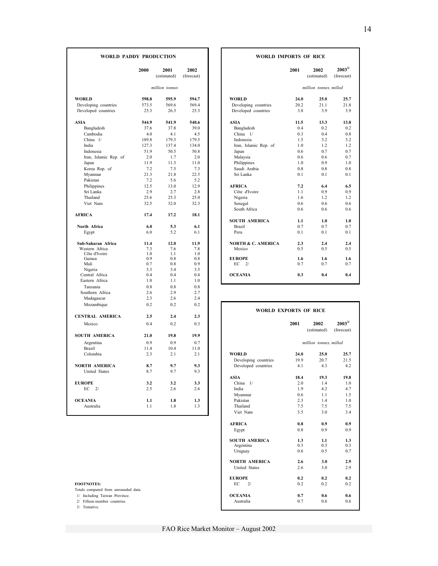| <b>WORLD PADDY PRODUCTION</b>    |            | <b>WORLD IMPORTS OF RICE</b> |                    |                               |                       |                        |                            |
|----------------------------------|------------|------------------------------|--------------------|-------------------------------|-----------------------|------------------------|----------------------------|
|                                  | 2000       | 2001<br>(estimated)          | 2002<br>(forecast) |                               | 2001                  | 2002<br>(estimated)    | $2003^{3/2}$<br>(forecast) |
|                                  |            | million tonnes               |                    |                               |                       | million tonnes, milled |                            |
| <b>WORLD</b>                     | 598.8      | 595.9                        | 594.7              | <b>WORLD</b>                  | 24.0                  | 25.0                   | 25.7                       |
| Developing countries             | 573.5      | 569.6                        | 569.4              | Developing countries          | 20.2                  | 21.1                   | 21.8                       |
| Developed countries              | 25.3       | 26.3                         | 25.3               | Developed countries           | 3.8                   | 3.9                    | 3.9                        |
| <b>ASIA</b>                      | 544.9      | 541.9                        | 540.6              | <b>ASIA</b>                   | 11.5                  | 13.3                   | 13.8                       |
| Bangladesh                       | 37.6       | 37.8                         | 39.0               | Bangladesh                    | 0.4                   | 0.2                    | 0.2                        |
| Cambodia                         | 4.0        | 4.1                          | 4.5                | China 1/                      | 0.3                   | 0.4                    | 0.8                        |
| China $1/$                       | 189.8      | 179.3                        | 179.5              | Indonesia                     | 1.5                   | 3.2                    | 3.2                        |
| India                            | 127.3      | 137.4                        | 134.0              | Iran, Islamic Rep. of         | 1.0                   | 1.2                    | 1.2                        |
| Indonesia                        | 51.9       | 50.5                         | 50.8               | Japan                         | 0.6                   | 0.7                    | 0.7                        |
| Iran, Islamic Rep. of            | 2.0        | 1.7                          | 2.0                | Malaysia                      | 0.6                   | 0.6                    | 0.7                        |
| Japan                            | 11.9       | 11.3                         | 11.0               | Philippines                   | 1.0                   | 0.9                    | 1.0                        |
| Korea Rep. of                    | 7.2        | 7.5                          | 7.3                | Saudi Arabia                  | 0.8                   | 0.8                    | 0.8                        |
| Myanmar                          | 21.3       | 21.8                         | 22.5               | Sri Lanka                     | 0.1                   | 0.1                    | 0.1                        |
| Pakistan                         | 7.2        | 5.6                          | 5.2                |                               |                       |                        |                            |
| Philippines                      | 12.5       | 13.0                         | 12.9               | <b>AFRICA</b>                 | 7.2                   | 6.4                    | 6.5                        |
| Sri Lanka                        | 2.9        | 2.7                          | 2.8                | Côte d'Ivoire                 | 1.1                   | 0.9                    | 0.9                        |
| Thailand                         | 25.6       | 25.3                         | 25.0               | Nigeria                       | 1.6                   | 1.2                    | 1.2                        |
| Viet Nam                         | 32.5       | 32.0                         | 32.3               | Senegal                       | 0.6                   | 0.6                    | 0.6                        |
|                                  |            |                              |                    | South Africa                  | 0.6                   | 0.6                    | 0.6                        |
| <b>AFRICA</b>                    | 17.4       | 17.2                         | 18.1               |                               |                       |                        |                            |
|                                  |            |                              |                    | <b>SOUTH AMERICA</b>          | 1.1                   | 1.0                    | 1.0                        |
| North Africa                     | 6.0        | 5.3                          | 6.1                | Brazil                        | 0.7                   | 0.7                    | 0.7                        |
| Egypt                            | 6.0        | 5.2                          | 6.1                | Peru                          | 0.1                   | 0.1                    | 0.1                        |
| Sub-Saharan Africa               | 11.4       | 12.0                         | 11.9               | <b>NORTH &amp; C. AMERICA</b> | 2.3                   | 2.4                    | 2.4                        |
| Western Africa                   | 7.3        | 7.6                          | 7.8                | Mexico                        | 0.5                   | 0.5                    | 0.5                        |
| Côte d'Ivoire                    | 1.0        | 1.1                          | 1.0                |                               |                       |                        |                            |
| Guinea                           | 0.9        | 0.8                          | 0.8                | <b>EUROPE</b>                 | 1.6                   | 1.6                    | 1.6                        |
| Mali                             | 0.7        | 0.8                          | 0.9                | EC<br>2/                      | 0.7                   | 0.7                    | 0.7                        |
| Nigeria                          | 3.3<br>0.4 | 3.4<br>0.4                   | 3.5<br>0.4         | <b>OCEANIA</b>                | 0.3                   | 0.4                    | 0.4                        |
| Central Africa<br>Eastern Africa | 1.0        | 1.1                          | 1.0                |                               |                       |                        |                            |
|                                  |            |                              |                    |                               |                       |                        |                            |
| Tanzania                         | 0.8        | 0.8                          | 0.8                |                               |                       |                        |                            |
| Southern Africa                  | 2.6        | 2.9                          | 2.7                |                               |                       |                        |                            |
| Madagascar                       | 2.3        | 26                           | 2.4                |                               |                       |                        |                            |
| Mozambique                       | 0.2        | 0.2                          | 0.2                | <b>WORLD EXPORTS OF RICE</b>  |                       |                        |                            |
| <b>CENTRAL AMERICA</b>           | 2.5        | 2.4                          | 2.3                |                               |                       |                        |                            |
| Mexico                           | 0.4        | 0.2                          | 0.3                |                               | 2001                  | 2002<br>(estimated)    | $2003^{3/}$                |
| <b>SOUTH AMERICA</b>             | 21.0       | 19.8                         | 19.9               |                               |                       |                        | (forecast)                 |
| Argentina                        | 0.9        | 0.9                          | 0.7                |                               |                       | million tonnes, milled |                            |
| <b>Brazil</b>                    | 11.4       | 10.4                         | 11.0               |                               |                       |                        |                            |
| Colombia                         | 2.3        | 2.1                          | 2.1                | <b>WORLD</b>                  | 24.0                  | 25.0                   | 25.7                       |
|                                  |            |                              |                    | Developing countries          | 19.9                  | 20.7                   | 21.5                       |
| <b>NORTH AMERICA</b>             | 8.7        | 9.7                          | 9.3                | Developed countries           | 4.1                   | 4.3                    | 4.2                        |
| United States                    | 8.7        | 9.7                          | 9.3                |                               |                       |                        |                            |
|                                  |            |                              |                    | <b>ASIA</b>                   | 18.4                  | 19.3                   | 19.8                       |
| <b>EUROPE</b>                    | 3.2        | 3.2                          | 3.3                | China 1/                      | 2.0                   | 1.4                    | 1.0                        |
| EC<br>2/                         | 2.5        | 2.6                          | 2.6                | India                         | 1.9                   | 4.2                    | 4.7                        |
|                                  |            |                              |                    |                               | 0.6                   | 1.1                    | 1.5                        |
| <b>OCEANIA</b>                   |            | 1.8                          |                    | Myanmar<br>Pakistan           | 2.3                   | 1.4                    |                            |
|                                  | 1.1        |                              | 1.3                |                               |                       |                        | 1.0                        |
| Australia                        | 1.1        | 1.8                          | 1.3                | Thailand<br>Viat Nam          | 7.5<br>2 <sup>5</sup> | 7.5<br>2 <sub>0</sub>  | 7.5<br>2 <sub>1</sub>      |
|                                  |            |                              |                    |                               |                       |                        |                            |

3/ Tentative.

| 2000  | 2001<br>(estimated) | 2002<br>(forecast) | 2001                                    | 2002<br>(estimated)    | $2003^{3/2}$<br>(forecast) |
|-------|---------------------|--------------------|-----------------------------------------|------------------------|----------------------------|
|       | million tonnes      |                    |                                         | million tonnes, milled |                            |
| 598.8 | 595.9               | 594.7              | <b>WORLD</b><br>24.0                    | 25.0                   | 25.7                       |
| 573.5 | 569.6               | 569.4              | 20.2<br>Developing countries            | 211                    | 21.8                       |
| 25.3  | 26.3                | 253                | Developed countries<br>3.8              | 39                     | 39                         |
| 544.9 | 541.9               | 540.6              | <b>ASIA</b><br>11.5                     | 13.3                   | 13.8                       |
| 37.6  | 378                 | 39.0               | 0 <sub>4</sub><br>Bangladesh            | 0 <sub>2</sub>         | 0 <sub>2</sub>             |
| 4.0   | 41                  | 4.5                | China $1/$<br>0.3                       | 0.4                    | 0.8                        |
| 189.8 | 179.3               | 179.5              | Indonesia<br>1.5                        | 3.2                    | 32                         |
| 127.3 | 137.4               | 1340               | Iran, Islamic Rep. of<br>1 <sub>0</sub> | 12                     | 12                         |
| 51.9  | 50.5                | 50.8               | 0.6<br>Japan                            | 0.7                    | 0.7                        |
| 2.0   | 1.7                 | 2.0                | Malaysia<br>0.6                         | 0.6                    | 0.7                        |
| 11.9  | 11.3                | 11.0               | Philippines<br>1.0                      | 0.9                    | 1.0                        |
| 72    | 7.5                 | 7.3                | Saudi Arabia<br>0.8                     | 0.8                    | 0.8                        |
| 21.3  | 218                 | 22.5               | Sri Lanka<br>0 <sub>1</sub>             | 0 <sub>1</sub>         | 0.1                        |
| 7.2   | 5.6                 | 5.2                |                                         |                        |                            |
| 12.5  | 13.0                | 12.9               | <b>AFRICA</b><br>7.2                    | 6.4                    | 6.5                        |
| 2.9   | 2.7                 | 2.8                | Côte d'Ivoire<br>11                     | 0.9                    | 0.9                        |
| 25.6  | 25.3                | 250                | 16<br>Nigeria                           | 12                     | 12                         |
| 32.5  | 32.0                | 323                | Senegal<br>0.6                          | 0.6                    | 0.6                        |
|       |                     |                    | South Africa<br>0.6                     | 0.6                    | 0.6                        |
| 17.4  | 17.2                | 18.1               |                                         |                        |                            |
|       |                     |                    | <b>SOUTH AMERICA</b><br>1.1             | 1.0                    | 1.0                        |
| 6.0   | 5.3                 | 6.1                | 0.7<br><b>Brazil</b>                    | 0.7                    | 0.7                        |
| 6.0   | 5.2                 | 6.1                | 0.1<br>Peru                             | 0.1                    | 0.1                        |
| 11.4  | 12.0                | 11.9               | <b>NORTH &amp; C. AMERICA</b><br>2.3    | 2.4                    | 2.4                        |
| 73    | 76                  | 78                 | Mexico<br>0.5                           | 0.5                    | 0.5                        |
| 1.0   | 11                  | 1.0                |                                         |                        |                            |
| 0.9   | 0.8                 | 0.8                | <b>EUROPE</b><br>1.6                    | 1.6                    | 1.6                        |
| 0.7   | 0.8                 | 0.9                | EC<br>0.7<br>2/                         | 0.7                    | 0.7                        |
| 3.3   | 3.4                 | 3.5<br>0.4         | <b>OCEANIA</b><br>0.3                   | 0.4                    | 0.4                        |
| 0.4   | 0.4                 |                    |                                         |                        |                            |
| 1.0   | 1.1                 | 1.0                |                                         |                        |                            |

| Mozambique                           | U.2  | V.Z  | U.Z  | <b>WORLD EXPORTS OF RICE</b> |      |                        |
|--------------------------------------|------|------|------|------------------------------|------|------------------------|
| CENTRAL AMERICA                      | 2.5  | 2.4  | 2.3  |                              |      |                        |
| Mexico                               | 0.4  | 0.2  | 0.3  |                              | 2001 | 2002                   |
|                                      |      |      |      |                              |      | (estimated)            |
| SOUTH AMERICA                        | 21.0 | 19.8 | 19.9 |                              |      |                        |
| Argentina                            | 0.9  | 0.9  | 0.7  |                              |      | million tonnes, milled |
| <b>Brazil</b>                        | 11.4 | 10.4 | 11.0 |                              |      |                        |
| Colombia                             | 2.3  | 2.1  | 2.1  | <b>WORLD</b>                 | 24.0 | 25.0                   |
|                                      |      |      |      | Developing countries         | 19.9 | 20.7                   |
| <b>NORTH AMERICA</b>                 | 8.7  | 9.7  | 9.3  | Developed countries          | 4.1  | 4.3                    |
| <b>United States</b>                 | 8.7  | 9.7  | 9.3  |                              |      |                        |
|                                      |      |      |      | <b>ASIA</b>                  | 18.4 | 19.3                   |
| <b>EUROPE</b>                        | 3.2  | 3.2  | 3.3  | China $1/$                   | 2.0  | 1.4                    |
| $EC$ 2/                              | 2.5  | 2.6  | 2.6  | India                        | 1.9  | 4.2                    |
|                                      |      |      |      | Myanmar                      | 0.6  | 1.1                    |
| <b>OCEANIA</b>                       | 1.1  | 1.8  | 1.3  | Pakistan                     | 2.3  | 1.4                    |
| Australia                            | 1.1  | 1.8  | 1.3  | Thailand                     | 7.5  | 7.5                    |
|                                      |      |      |      | Viet Nam                     | 3.5  | 3.0                    |
|                                      |      |      |      | <b>AFRICA</b>                | 0.8  | 0.9                    |
|                                      |      |      |      | Egypt                        | 0.8  | 0.9                    |
|                                      |      |      |      | <b>SOUTH AMERICA</b>         | 1.3  | 1.1                    |
|                                      |      |      |      | Argentina                    | 0.3  | 0.3                    |
|                                      |      |      |      | Uruguay                      | 0.6  | 0.5                    |
|                                      |      |      |      | <b>NORTH AMERICA</b>         | 2.6  | 3.0                    |
|                                      |      |      |      | United States                | 2.6  | 3.0                    |
|                                      |      |      |      | <b>EUROPE</b>                | 0.2  | 0.2                    |
| <b>FOOTNOTES:</b>                    |      |      |      | EC<br>2/                     | 0.2  | 0.2                    |
| Totals computed from unrounded data. |      |      |      |                              |      |                        |
| 1/ Including Taiwan Province.        |      |      |      | <b>OCEANIA</b>               | 0.7  | 0.6                    |
| 2/ Fifteen member countries.         |      |      |      | Australia                    | 0.7  | 0.6                    |
| and the control of the control of    |      |      |      |                              |      |                        |